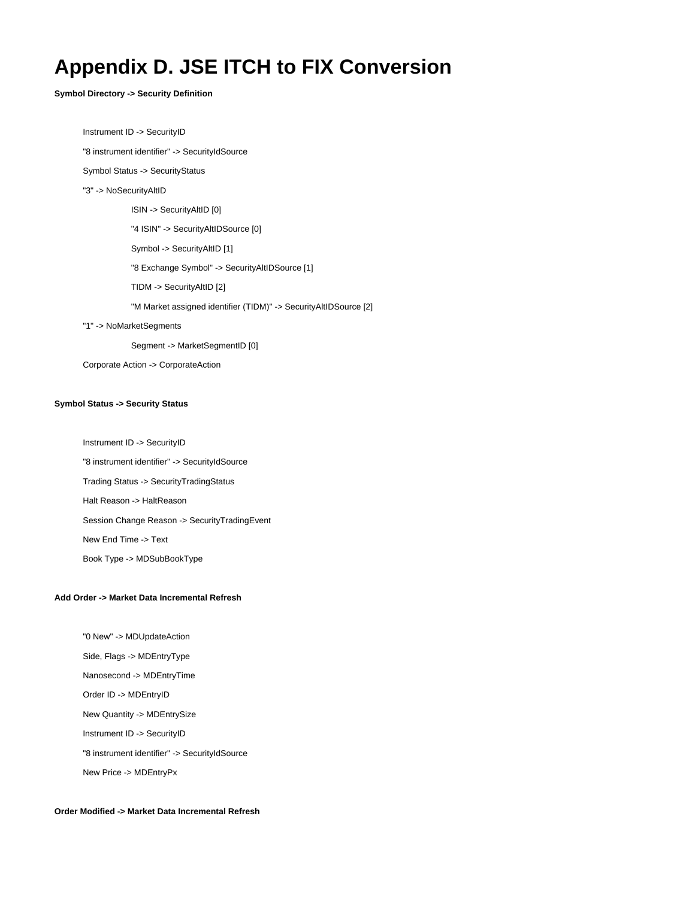# **Appendix D. JSE ITCH to FIX Conversion**

**Symbol Directory -> Security Definition**

Instrument ID -> SecurityID

"8 instrument identifier" -> SecurityIdSource

Symbol Status -> SecurityStatus

"3" -> NoSecurityAltID

ISIN -> SecurityAltID [0]

"4 ISIN" -> SecurityAltIDSource [0]

Symbol -> SecurityAltID [1]

"8 Exchange Symbol" -> SecurityAltIDSource [1]

TIDM -> SecurityAltID [2]

"M Market assigned identifier (TIDM)" -> SecurityAltIDSource [2]

"1" -> NoMarketSegments

Segment -> MarketSegmentID [0]

Corporate Action -> CorporateAction

#### **Symbol Status -> Security Status**

 Instrument ID -> SecurityID "8 instrument identifier" -> SecurityIdSource Trading Status -> SecurityTradingStatus Halt Reason -> HaltReason Session Change Reason -> SecurityTradingEvent New End Time -> Text Book Type -> MDSubBookType

#### **Add Order -> Market Data Incremental Refresh**

 "0 New" -> MDUpdateAction Side, Flags -> MDEntryType Nanosecond -> MDEntryTime Order ID -> MDEntryID New Quantity -> MDEntrySize Instrument ID -> SecurityID "8 instrument identifier" -> SecurityIdSource New Price -> MDEntryPx

### **Order Modified -> Market Data Incremental Refresh**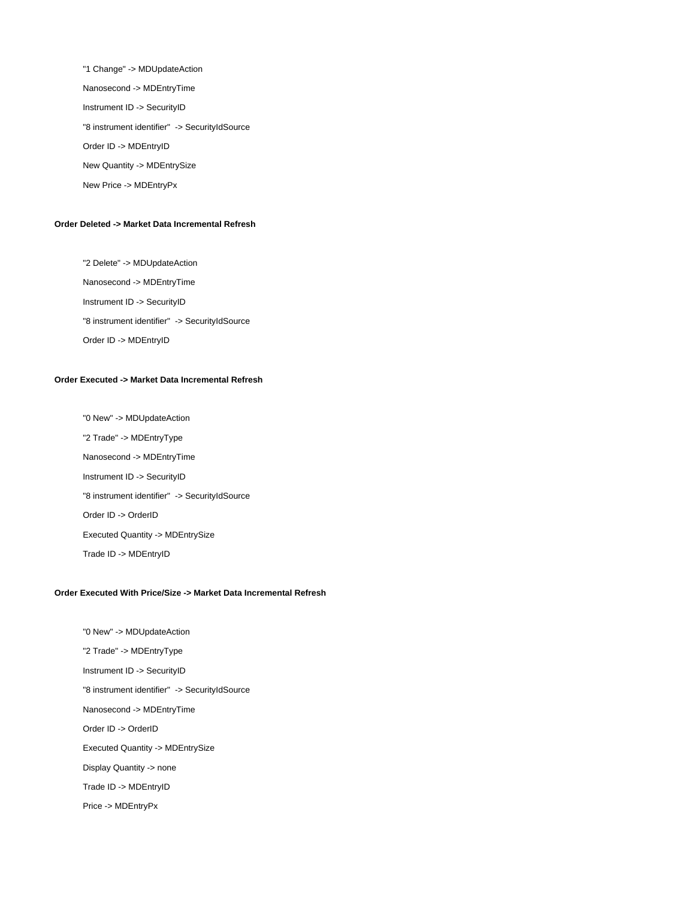"1 Change" -> MDUpdateAction Nanosecond -> MDEntryTime Instrument ID -> SecurityID "8 instrument identifier" -> SecurityIdSource Order ID -> MDEntryID New Quantity -> MDEntrySize New Price -> MDEntryPx

#### **Order Deleted -> Market Data Incremental Refresh**

 "2 Delete" -> MDUpdateAction Nanosecond -> MDEntryTime Instrument ID -> SecurityID "8 instrument identifier" -> SecurityIdSource Order ID -> MDEntryID

## **Order Executed -> Market Data Incremental Refresh**

 "0 New" -> MDUpdateAction "2 Trade" -> MDEntryType Nanosecond -> MDEntryTime Instrument ID -> SecurityID "8 instrument identifier" -> SecurityIdSource Order ID -> OrderID Executed Quantity -> MDEntrySize Trade ID -> MDEntryID

## **Order Executed With Price/Size -> Market Data Incremental Refresh**

 "0 New" -> MDUpdateAction "2 Trade" -> MDEntryType Instrument ID -> SecurityID "8 instrument identifier" -> SecurityIdSource Nanosecond -> MDEntryTime Order ID -> OrderID Executed Quantity -> MDEntrySize Display Quantity -> none Trade ID -> MDEntryID Price -> MDEntryPx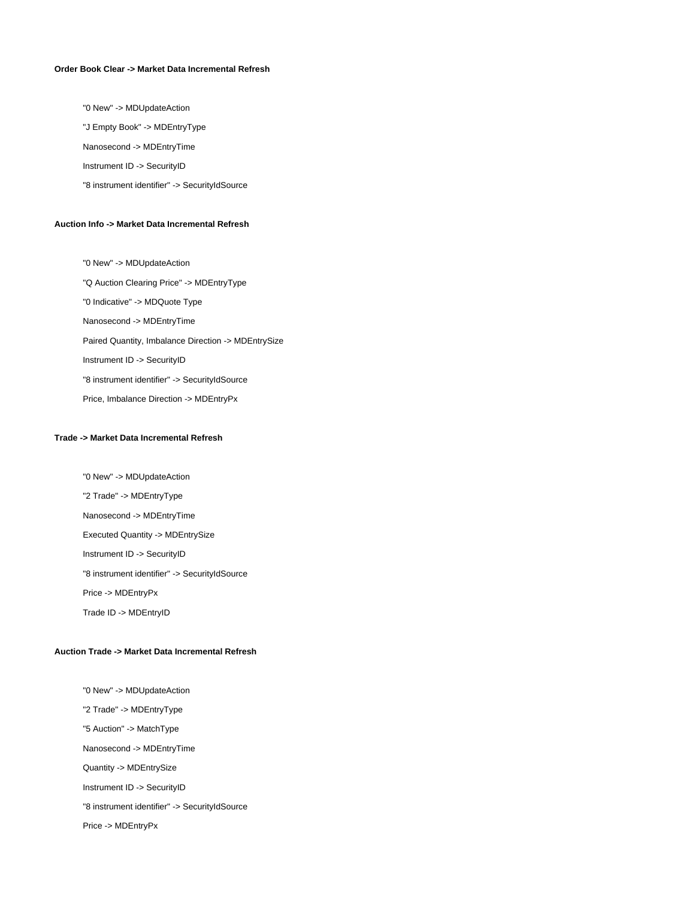## **Order Book Clear -> Market Data Incremental Refresh**

"0 New" -> MDUpdateAction

"J Empty Book" -> MDEntryType

Nanosecond -> MDEntryTime

Instrument ID -> SecurityID

"8 instrument identifier" -> SecurityIdSource

#### **Auction Info -> Market Data Incremental Refresh**

 "0 New" -> MDUpdateAction "Q Auction Clearing Price" -> MDEntryType "0 Indicative" -> MDQuote Type Nanosecond -> MDEntryTime Paired Quantity, Imbalance Direction -> MDEntrySize Instrument ID -> SecurityID "8 instrument identifier" -> SecurityIdSource Price, Imbalance Direction -> MDEntryPx

## **Trade -> Market Data Incremental Refresh**

 "0 New" -> MDUpdateAction "2 Trade" -> MDEntryType Nanosecond -> MDEntryTime Executed Quantity -> MDEntrySize Instrument ID -> SecurityID "8 instrument identifier" -> SecurityIdSource Price -> MDEntryPx Trade ID -> MDEntryID

#### **Auction Trade -> Market Data Incremental Refresh**

 "0 New" -> MDUpdateAction "2 Trade" -> MDEntryType "5 Auction" -> MatchType Nanosecond -> MDEntryTime Quantity -> MDEntrySize Instrument ID -> SecurityID "8 instrument identifier" -> SecurityIdSource Price -> MDEntryPx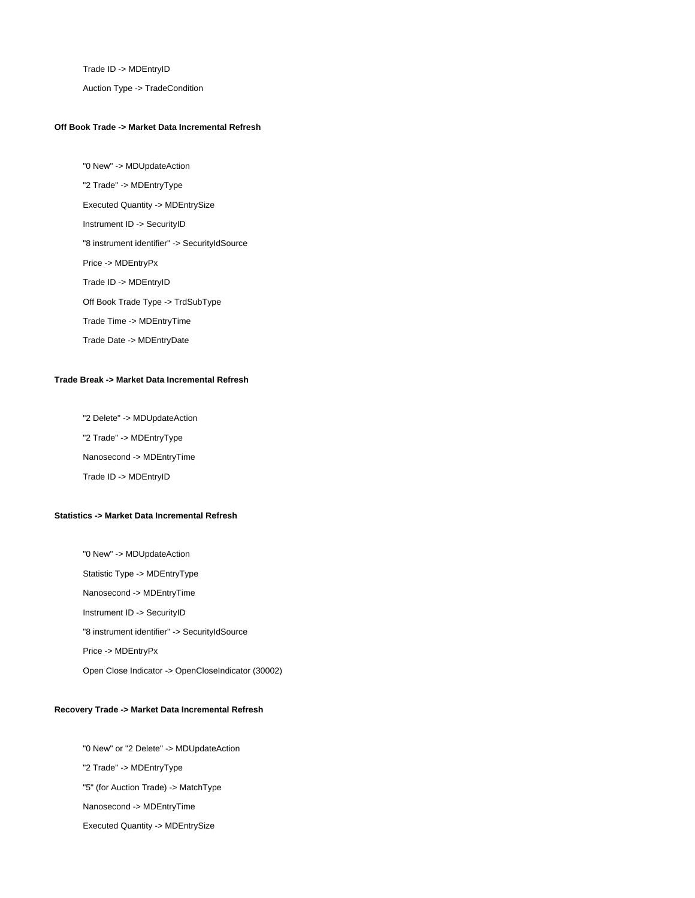Trade ID -> MDEntryID

Auction Type -> TradeCondition

#### **Off Book Trade -> Market Data Incremental Refresh**

 "0 New" -> MDUpdateAction "2 Trade" -> MDEntryType Executed Quantity -> MDEntrySize Instrument ID -> SecurityID "8 instrument identifier" -> SecurityIdSource Price -> MDEntryPx Trade ID -> MDEntryID Off Book Trade Type -> TrdSubType Trade Time -> MDEntryTime Trade Date -> MDEntryDate

### **Trade Break -> Market Data Incremental Refresh**

 "2 Delete" -> MDUpdateAction "2 Trade" -> MDEntryType Nanosecond -> MDEntryTime Trade ID -> MDEntryID

# **Statistics -> Market Data Incremental Refresh**

 "0 New" -> MDUpdateAction Statistic Type -> MDEntryType Nanosecond -> MDEntryTime Instrument ID -> SecurityID "8 instrument identifier" -> SecurityIdSource Price -> MDEntryPx Open Close Indicator -> OpenCloseIndicator (30002)

# **Recovery Trade -> Market Data Incremental Refresh**

 "0 New" or "2 Delete" -> MDUpdateAction "2 Trade" -> MDEntryType "5" (for Auction Trade) -> MatchType Nanosecond -> MDEntryTime Executed Quantity -> MDEntrySize